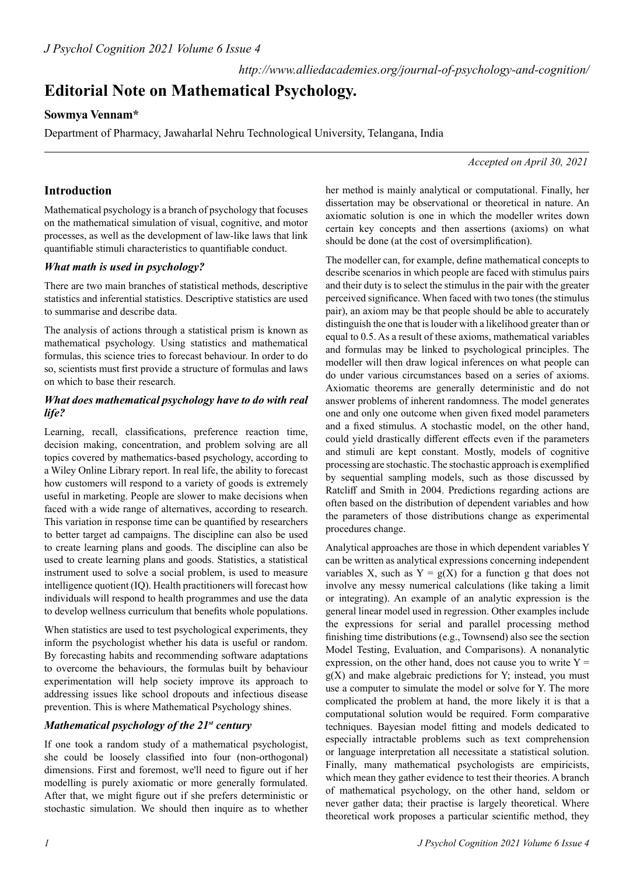# **Editorial Note on Mathematical Psychology.**

## **Sowmya Vennam\***

Department of Pharmacy, Jawaharlal Nehru Technological University, Telangana, India

*Accepted on April 30, 2021*

## **Introduction**

Mathematical psychology is a branch of psychology that focuses on the mathematical simulation of visual, cognitive, and motor processes, as well as the development of law-like laws that link quantifiable stimuli characteristics to quantifiable conduct.

#### *What math is used in psychology?*

There are two main branches of statistical methods, descriptive statistics and inferential statistics. Descriptive statistics are used to summarise and describe data.

The analysis of actions through a statistical prism is known as mathematical psychology. Using statistics and mathematical formulas, this science tries to forecast behaviour. In order to do so, scientists must first provide a structure of formulas and laws on which to base their research.

#### *What does mathematical psychology have to do with real life?*

Learning, recall, classifications, preference reaction time, decision making, concentration, and problem solving are all topics covered by mathematics-based psychology, according to a Wiley Online Library report. In real life, the ability to forecast how customers will respond to a variety of goods is extremely useful in marketing. People are slower to make decisions when faced with a wide range of alternatives, according to research. This variation in response time can be quantified by researchers to better target ad campaigns. The discipline can also be used to create learning plans and goods. The discipline can also be used to create learning plans and goods. Statistics, a statistical instrument used to solve a social problem, is used to measure intelligence quotient (IQ). Health practitioners will forecast how individuals will respond to health programmes and use the data to develop wellness curriculum that benefits whole populations.

When statistics are used to test psychological experiments, they inform the psychologist whether his data is useful or random. By forecasting habits and recommending software adaptations to overcome the behaviours, the formulas built by behaviour experimentation will help society improve its approach to addressing issues like school dropouts and infectious disease prevention. This is where Mathematical Psychology shines.

### *Mathematical psychology of the 21st century*

If one took a random study of a mathematical psychologist, she could be loosely classified into four (non-orthogonal) dimensions. First and foremost, we'll need to figure out if her modelling is purely axiomatic or more generally formulated. After that, we might figure out if she prefers deterministic or stochastic simulation. We should then inquire as to whether

her method is mainly analytical or computational. Finally, her dissertation may be observational or theoretical in nature. An axiomatic solution is one in which the modeller writes down certain key concepts and then assertions (axioms) on what should be done (at the cost of oversimplification).

The modeller can, for example, define mathematical concepts to describe scenarios in which people are faced with stimulus pairs and their duty is to select the stimulus in the pair with the greater perceived significance. When faced with two tones (the stimulus pair), an axiom may be that people should be able to accurately distinguish the one that is louder with a likelihood greater than or equal to 0.5. As a result of these axioms, mathematical variables and formulas may be linked to psychological principles. The modeller will then draw logical inferences on what people can do under various circumstances based on a series of axioms. Axiomatic theorems are generally deterministic and do not answer problems of inherent randomness. The model generates one and only one outcome when given fixed model parameters and a fixed stimulus. A stochastic model, on the other hand, could yield drastically different effects even if the parameters and stimuli are kept constant. Mostly, models of cognitive processing are stochastic. The stochastic approach is exemplified by sequential sampling models, such as those discussed by Ratcliff and Smith in 2004. Predictions regarding actions are often based on the distribution of dependent variables and how the parameters of those distributions change as experimental procedures change.

Analytical approaches are those in which dependent variables Y can be written as analytical expressions concerning independent variables X, such as  $Y = g(X)$  for a function g that does not involve any messy numerical calculations (like taking a limit or integrating). An example of an analytic expression is the general linear model used in regression. Other examples include the expressions for serial and parallel processing method finishing time distributions (e.g., Townsend) also see the section Model Testing, Evaluation, and Comparisons). A nonanalytic expression, on the other hand, does not cause you to write  $Y =$  $g(X)$  and make algebraic predictions for Y; instead, you must use a computer to simulate the model or solve for Y. The more complicated the problem at hand, the more likely it is that a computational solution would be required. Form comparative techniques. Bayesian model fitting and models dedicated to especially intractable problems such as text comprehension or language interpretation all necessitate a statistical solution. Finally, many mathematical psychologists are empiricists, which mean they gather evidence to test their theories. A branch of mathematical psychology, on the other hand, seldom or never gather data; their practise is largely theoretical. Where theoretical work proposes a particular scientific method, they